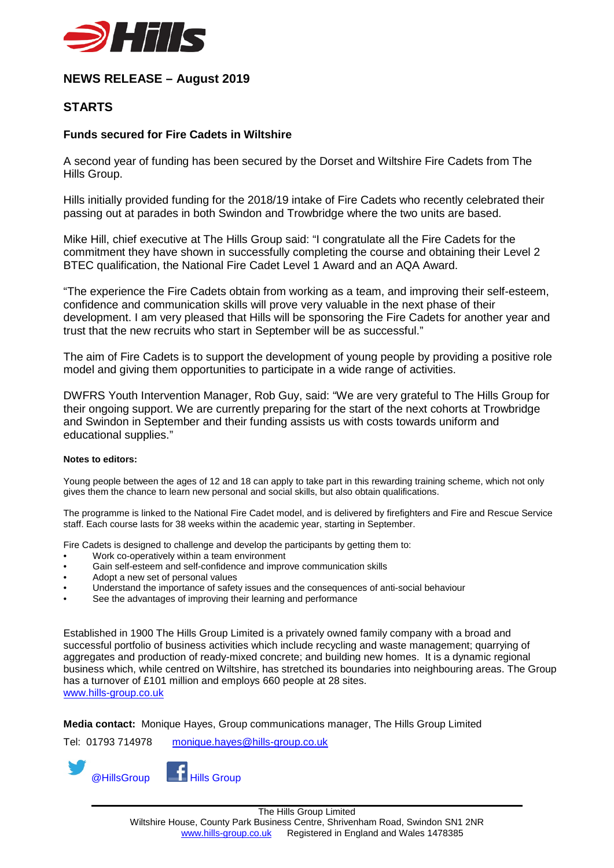

## **NEWS RELEASE – August 2019**

## **STARTS**

## **Funds secured for Fire Cadets in Wiltshire**

A second year of funding has been secured by the Dorset and Wiltshire Fire Cadets from The Hills Group.

Hills initially provided funding for the 2018/19 intake of Fire Cadets who recently celebrated their passing out at parades in both Swindon and Trowbridge where the two units are based.

Mike Hill, chief executive at The Hills Group said: "I congratulate all the Fire Cadets for the commitment they have shown in successfully completing the course and obtaining their Level 2 BTEC qualification, the National Fire Cadet Level 1 Award and an AQA Award.

"The experience the Fire Cadets obtain from working as a team, and improving their self-esteem, confidence and communication skills will prove very valuable in the next phase of their development. I am very pleased that Hills will be sponsoring the Fire Cadets for another year and trust that the new recruits who start in September will be as successful."

The aim of Fire Cadets is to support the development of young people by providing a positive role model and giving them opportunities to participate in a wide range of activities.

DWFRS Youth Intervention Manager, Rob Guy, said: "We are very grateful to The Hills Group for their ongoing support. We are currently preparing for the start of the next cohorts at Trowbridge and Swindon in September and their funding assists us with costs towards uniform and educational supplies."

## **Notes to editors:**

Young people between the ages of 12 and 18 can apply to take part in this rewarding training scheme, which not only gives them the chance to learn new personal and social skills, but also obtain qualifications.

The programme is linked to the National Fire Cadet model, and is delivered by firefighters and Fire and Rescue Service staff. Each course lasts for 38 weeks within the academic year, starting in September.

Fire Cadets is designed to challenge and develop the participants by getting them to:

- Work co-operatively within a team environment
- Gain self-esteem and self-confidence and improve communication skills
- Adopt a new set of personal values
- Understand the importance of safety issues and the consequences of anti-social behaviour
- See the advantages of improving their learning and performance

Established in 1900 The Hills Group Limited is a privately owned family company with a broad and successful portfolio of business activities which include recycling and waste management; quarrying of aggregates and production of ready-mixed concrete; and building new homes. It is a dynamic regional business which, while centred on Wiltshire, has stretched its boundaries into neighbouring areas. The Group has a turnover of £101 million and employs 660 people at 28 sites. [www.hills-group.co.uk](http://www.hills-group.co.uk/)

**Media contact:** Monique Hayes, Group communications manager, The Hills Group Limited

Tel: 01793 714978 [monique.hayes@hills-group.co.uk](mailto:monique.hayes@hills-group.co.uk)

@HillsGroup **Hills Group**